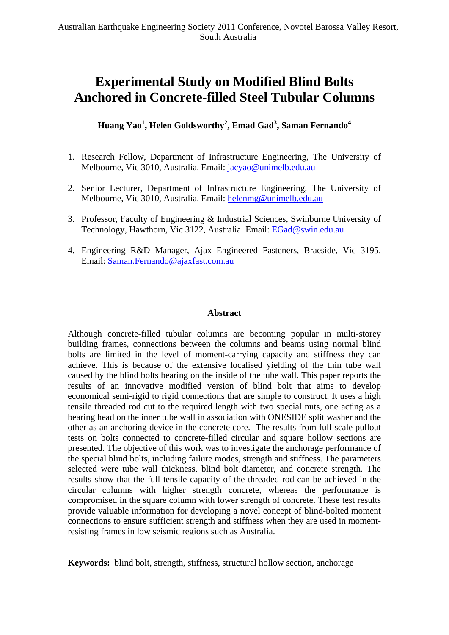# **Experimental Study on Modified Blind Bolts Anchored in Concrete-filled Steel Tubular Columns**

 $\bold{Huang \; \text{Yao}^1, \text{Helen Goldsworthy}^2, \text{Emad Gad}^3, \text{Saman Fernando}^4}$ 

- 1. Research Fellow, Department of Infrastructure Engineering, The University of Melbourne, Vic 3010, Australia. Email: [jacyao@unimelb.edu.au](mailto:jacyao@unimelb.edu.au)
- 2. Senior Lecturer, Department of Infrastructure Engineering, The University of Melbourne, Vic 3010, Australia. Email: [helenmg@unimelb.edu.au](mailto:helenmg@unimelb.edu.au)
- 3. Professor, Faculty of Engineering & Industrial Sciences, Swinburne University of Technology, Hawthorn, Vic 3122, Australia. Email: [EGad@swin.edu.au](mailto:EGad@swin.edu.au)
- 4. Engineering R&D Manager, Ajax Engineered Fasteners, Braeside, Vic 3195. Email: [Saman.Fernando@ajaxfast.com.au](mailto:Saman.Fernando@ajaxfast.com.au)

#### **Abstract**

Although concrete-filled tubular columns are becoming popular in multi-storey building frames, connections between the columns and beams using normal blind bolts are limited in the level of moment-carrying capacity and stiffness they can achieve. This is because of the extensive localised yielding of the thin tube wall caused by the blind bolts bearing on the inside of the tube wall. This paper reports the results of an innovative modified version of blind bolt that aims to develop economical semi-rigid to rigid connections that are simple to construct. It uses a high tensile threaded rod cut to the required length with two special nuts, one acting as a bearing head on the inner tube wall in association with ONESIDE split washer and the other as an anchoring device in the concrete core. The results from full-scale pullout tests on bolts connected to concrete-filled circular and square hollow sections are presented. The objective of this work was to investigate the anchorage performance of the special blind bolts, including failure modes, strength and stiffness. The parameters selected were tube wall thickness, blind bolt diameter, and concrete strength. The results show that the full tensile capacity of the threaded rod can be achieved in the circular columns with higher strength concrete, whereas the performance is compromised in the square column with lower strength of concrete. These test results provide valuable information for developing a novel concept of blind-bolted moment connections to ensure sufficient strength and stiffness when they are used in momentresisting frames in low seismic regions such as Australia.

**Keywords:** blind bolt, strength, stiffness, structural hollow section, anchorage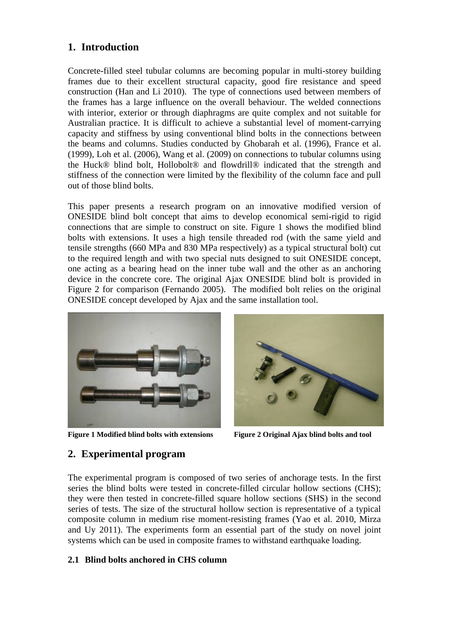# **1. Introduction**

Concrete-filled steel tubular columns are becoming popular in multi-storey building frames due to their excellent structural capacity, good fire resistance and speed construction (Han and Li 2010). The type of connections used between members of the frames has a large influence on the overall behaviour. The welded connections with interior, exterior or through diaphragms are quite complex and not suitable for Australian practice. It is difficult to achieve a substantial level of moment-carrying capacity and stiffness by using conventional blind bolts in the connections between the beams and columns. Studies conducted by Ghobarah et al. (1996), France et al. (1999), Loh et al. (2006), Wang et al. (2009) on connections to tubular columns using the Huck® blind bolt, Hollobolt® and flowdrill® indicated that the strength and stiffness of the connection were limited by the flexibility of the column face and pull out of those blind bolts.

This paper presents a research program on an innovative modified version of ONESIDE blind bolt concept that aims to develop economical semi-rigid to rigid connections that are simple to construct on site. Figure [1](#page-1-0) shows the modified blind bolts with extensions. It uses a high tensile threaded rod (with the same yield and tensile strengths (660 MPa and 830 MPa respectively) as a typical structural bolt) cut to the required length and with two special nuts designed to suit ONESIDE concept, one acting as a bearing head on the inner tube wall and the other as an anchoring device in the concrete core. The original Ajax ONESIDE blind bolt is provided in Figure [2](#page-1-0) for comparison (Fernando 2005). The modified bolt relies on the original ONESIDE concept developed by Ajax and the same installation tool.



**Figure 1 Modified blind bolts with extensions Figure 2 Original Ajax blind bolts and tool** 



# <span id="page-1-0"></span>**2. Experimental program**

The experimental program is composed of two series of anchorage tests. In the first series the blind bolts were tested in concrete-filled circular hollow sections (CHS); they were then tested in concrete-filled square hollow sections (SHS) in the second series of tests. The size of the structural hollow section is representative of a typical composite column in medium rise moment-resisting frames (Yao et al. 2010, Mirza and Uy 2011). The experiments form an essential part of the study on novel joint systems which can be used in composite frames to withstand earthquake loading.

### **2.1 Blind bolts anchored in CHS column**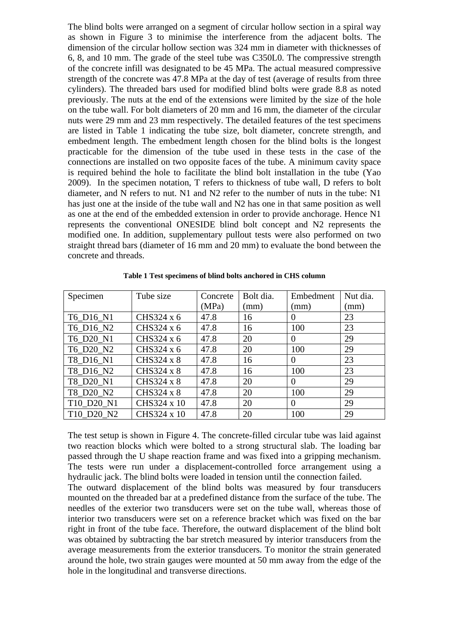The blind bolts were arranged on a segment of circular hollow section in a spiral way as shown in Figure [3](#page-3-0) to minimise the interference from the adjacent bolts. The dimension of the circular hollow section was 324 mm in diameter with thicknesses of 6, 8, and 10 mm. The grade of the steel tube was C350L0. The compressive strength of the concrete infill was designated to be 45 MPa. The actual measured compressive strength of the concrete was 47.8 MPa at the day of test (average of results from three cylinders). The threaded bars used for modified blind bolts were grade 8.8 as noted previously. The nuts at the end of the extensions were limited by the size of the hole on the tube wall. For bolt diameters of 20 mm and 16 mm, the diameter of the circular nuts were 29 mm and 23 mm respectively. The detailed features of the test specimens are listed in Table 1 indicating the tube size, bolt diameter, concrete strength, and embedment length. The embedment length chosen for the blind bolts is the longest practicable for the dimension of the tube used in these tests in the case of the connections are installed on two opposite faces of the tube. A minimum cavity space is required behind the hole to facilitate the blind bolt installation in the tube (Yao 2009). In the specimen notation, T refers to thickness of tube wall, D refers to bolt diameter, and N refers to nut. N1 and N2 refer to the number of nuts in the tube: N1 has just one at the inside of the tube wall and N2 has one in that same position as well as one at the end of the embedded extension in order to provide anchorage. Hence N1 represents the conventional ONESIDE blind bolt concept and N2 represents the modified one. In addition, supplementary pullout tests were also performed on two straight thread bars (diameter of 16 mm and 20 mm) to evaluate the bond between the concrete and threads.

| Specimen   | Tube size   | Concrete | Bolt dia. | Embedment      | Nut dia. |
|------------|-------------|----------|-----------|----------------|----------|
|            |             | (MPa)    | (mm)      | (mm)           | (mm)     |
| T6_D16_N1  | CHS324 x 6  | 47.8     | 16        | 0              | 23       |
| T6 D16 N2  | CHS324 x 6  | 47.8     | 16        | 100            | 23       |
| T6 D20 N1  | CHS324 x 6  | 47.8     | 20        | $\overline{0}$ | 29       |
| T6 D20 N2  | CHS324 x 6  | 47.8     | 20        | 100            | 29       |
| T8_D16_N1  | CHS324 x 8  | 47.8     | 16        | $\overline{0}$ | 23       |
| T8 D16 N2  | CHS324 x 8  | 47.8     | 16        | 100            | 23       |
| T8_D20_N1  | CHS324 x 8  | 47.8     | 20        | $\overline{0}$ | 29       |
| T8 D20 N2  | CHS324 x 8  | 47.8     | 20        | 100            | 29       |
| T10_D20_N1 | CHS324 x 10 | 47.8     | 20        | $\overline{0}$ | 29       |
| T10 D20 N2 | CHS324 x 10 | 47.8     | 20        | 100            | 29       |

**Table 1 Test specimens of blind bolts anchored in CHS column** 

The test setup is shown in Figure [4](#page-3-0). The concrete-filled circular tube was laid against two reaction blocks which were bolted to a strong structural slab. The loading bar passed through the U shape reaction frame and was fixed into a gripping mechanism. The tests were run under a displacement-controlled force arrangement using a hydraulic jack. The blind bolts were loaded in tension until the connection failed.

The outward displacement of the blind bolts was measured by four transducers mounted on the threaded bar at a predefined distance from the surface of the tube. The needles of the exterior two transducers were set on the tube wall, whereas those of interior two transducers were set on a reference bracket which was fixed on the bar right in front of the tube face. Therefore, the outward displacement of the blind bolt was obtained by subtracting the bar stretch measured by interior transducers from the average measurements from the exterior transducers. To monitor the strain generated around the hole, two strain gauges were mounted at 50 mm away from the edge of the hole in the longitudinal and transverse directions.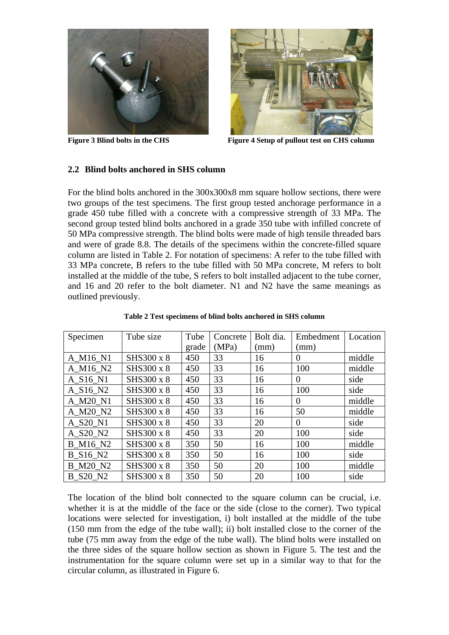



**Figure 3 Blind bolts in the CHS Figure 4 Setup of pullout test on CHS column** 

#### <span id="page-3-0"></span>**2.2 Blind bolts anchored in SHS column**

For the blind bolts anchored in the 300x300x8 mm square hollow sections, there were two groups of the test specimens. The first group tested anchorage performance in a grade 450 tube filled with a concrete with a compressive strength of 33 MPa. The second group tested blind bolts anchored in a grade 350 tube with infilled concrete of 50 MPa compressive strength. The blind bolts were made of high tensile threaded bars and were of grade 8.8. The details of the specimens within the concrete-filled square column are listed in Table 2. For notation of specimens: A refer to the tube filled with 33 MPa concrete, B refers to the tube filled with 50 MPa concrete, M refers to bolt installed at the middle of the tube, S refers to bolt installed adjacent to the tube corner, and 16 and 20 refer to the bolt diameter. N1 and N2 have the same meanings as outlined previously.

| Specimen                         | Tube size  | Tube  | Concrete | Bolt dia. | Embedment      | Location |
|----------------------------------|------------|-------|----------|-----------|----------------|----------|
|                                  |            | grade | (MPa)    | (mm)      | (mm)           |          |
| A M16 N1                         | SHS300 x 8 | 450   | 33       | 16        | 0              | middle   |
| A M16 N2                         | SHS300 x 8 | 450   | 33       | 16        | 100            | middle   |
| $A_S16_N1$                       | SHS300 x 8 | 450   | 33       | 16        | $\theta$       | side     |
| A S <sub>16</sub> N <sub>2</sub> | SHS300 x 8 | 450   | 33       | 16        | 100            | side     |
| A M20 N1                         | SHS300 x 8 | 450   | 33       | 16        | $\overline{0}$ | middle   |
| A M20 N2                         | SHS300 x 8 | 450   | 33       | 16        | 50             | middle   |
| A S20 N1                         | SHS300 x 8 | 450   | 33       | 20        | $\theta$       | side     |
| A S20 N2                         | SHS300 x 8 | 450   | 33       | 20        | 100            | side     |
| B M16 N2                         | SHS300 x 8 | 350   | 50       | 16        | 100            | middle   |
| <b>B</b> S16 N2                  | SHS300 x 8 | 350   | 50       | 16        | 100            | side     |
| <b>B</b> M20 N2                  | SHS300 x 8 | 350   | 50       | 20        | 100            | middle   |
| <b>B</b> S20 N2                  | SHS300 x 8 | 350   | 50       | 20        | 100            | side     |

**Table 2 Test specimens of blind bolts anchored in SHS column** 

The location of the blind bolt connected to the square column can be crucial, i.e. whether it is at the middle of the face or the side (close to the corner). Two typical locations were selected for investigation, i) bolt installed at the middle of the tube (150 mm from the edge of the tube wall); ii) bolt installed close to the corner of the tube (75 mm away from the edge of the tube wall). The blind bolts were installed on the three sides of the square hollow section as shown in Figure [5](#page-4-0). The test and the instrumentation for the square column were set up in a similar way to that for the circular column, as illustrated in Figure [6](#page-4-0).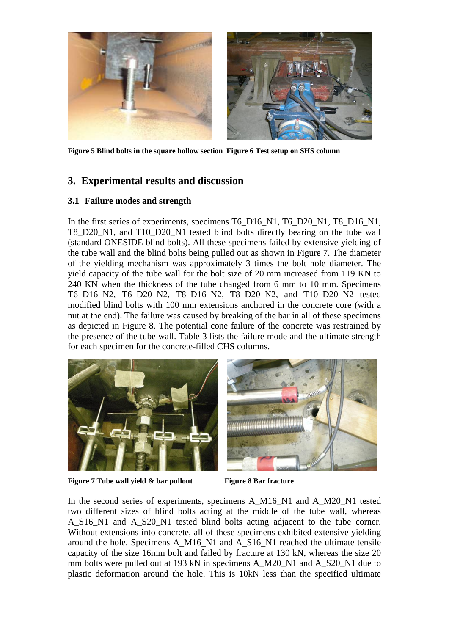

**Figure 5 Blind bolts in the square hollow section Figure 6 Test setup on SHS column** 

# <span id="page-4-0"></span>**3. Experimental results and discussion**

#### **3.1 Failure modes and strength**

In the first series of experiments, specimens T6\_D16\_N1, T6\_D20\_N1, T8\_D16\_N1, T8 D20 N1, and T10 D20 N1 tested blind bolts directly bearing on the tube wall (standard ONESIDE blind bolts). All these specimens failed by extensive yielding of the tube wall and the blind bolts being pulled out as shown in Figure [7.](#page-4-1) The diameter of the yielding mechanism was approximately 3 times the bolt hole diameter. The yield capacity of the tube wall for the bolt size of 20 mm increased from 119 KN to 240 KN when the thickness of the tube changed from 6 mm to 10 mm. Specimens T6\_D16\_N2, T6\_D20\_N2, T8\_D16\_N2, T8\_D20\_N2, and T10\_D20\_N2 tested modified blind bolts with 100 mm extensions anchored in the concrete core (with a nut at the end). The failure was caused by breaking of the bar in all of these specimens as depicted in Figure [8.](#page-4-1) The potential cone failure of the concrete was restrained by the presence of the tube wall. [Table 3](#page-5-0) lists the failure mode and the ultimate strength for each specimen for the concrete-filled CHS columns.





**Figure 7 Tube wall yield & bar pullout** Figure 8 Bar fracture

<span id="page-4-1"></span>In the second series of experiments, specimens A\_M16\_N1 and A\_M20\_N1 tested two different sizes of blind bolts acting at the middle of the tube wall, whereas A\_S16\_N1 and A\_S20\_N1 tested blind bolts acting adjacent to the tube corner. Without extensions into concrete, all of these specimens exhibited extensive yielding around the hole. Specimens A\_M16\_N1 and A\_S16\_N1 reached the ultimate tensile capacity of the size 16mm bolt and failed by fracture at 130 kN, whereas the size 20 mm bolts were pulled out at 193 kN in specimens A\_M20\_N1 and A\_S20\_N1 due to plastic deformation around the hole. This is 10kN less than the specified ultimate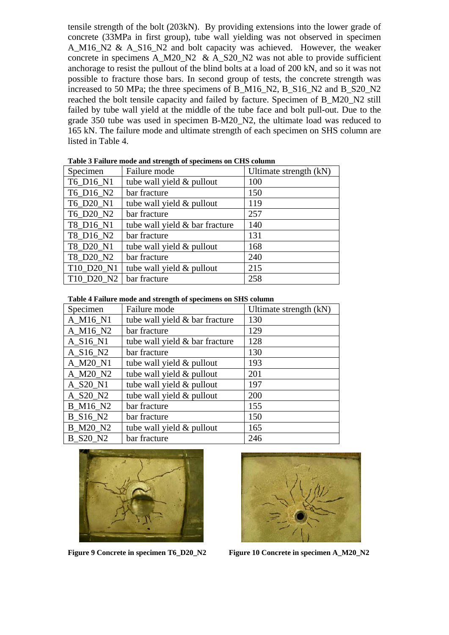tensile strength of the bolt (203kN). By providing extensions into the lower grade of concrete (33MPa in first group), tube wall yielding was not observed in specimen A M16 N2 & A S16 N2 and bolt capacity was achieved. However, the weaker concrete in specimens A\_M20\_N2 & A\_S20\_N2 was not able to provide sufficient anchorage to resist the pullout of the blind bolts at a load of 200 kN, and so it was not possible to fracture those bars. In second group of tests, the concrete strength was increased to 50 MPa; the three specimens of B\_M16\_N2, B\_S16\_N2 and B\_S20\_N2 reached the bolt tensile capacity and failed by facture. Specimen of B\_M20\_N2 still failed by tube wall yield at the middle of the tube face and bolt pull-out. Due to the grade 350 tube was used in specimen B-M20\_N2, the ultimate load was reduced to 165 kN. The failure mode and ultimate strength of each specimen on SHS column are listed in [Table 4.](#page-5-1)

<span id="page-5-0"></span>

| Specimen   | Failure mode                   | Ultimate strength (kN) |
|------------|--------------------------------|------------------------|
| T6 D16 N1  | tube wall yield & pullout      | 100                    |
| T6_D16_N2  | bar fracture                   | 150                    |
| T6_D20_N1  | tube wall yield & pullout      | 119                    |
| T6_D20_N2  | bar fracture                   | 257                    |
| T8 D16 N1  | tube wall yield & bar fracture | 140                    |
| T8 D16 N2  | bar fracture                   | 131                    |
| T8 D20 N1  | tube wall yield & pullout      | 168                    |
| T8 D20 N2  | bar fracture                   | 240                    |
| T10 D20 N1 | tube wall yield & pullout      | 215                    |
| T10 D20 N2 | bar fracture                   | 258                    |

**Table 3 Failure mode and strength of specimens on CHS column** 

| Table 4 Failure mode and strength of specimens on SHS column |  |
|--------------------------------------------------------------|--|
|--------------------------------------------------------------|--|

<span id="page-5-1"></span>

| Specimen        | Failure mode                   | Ultimate strength (kN) |
|-----------------|--------------------------------|------------------------|
| A_M16_N1        | tube wall yield & bar fracture | 130                    |
| A_M16_N2        | bar fracture                   | 129                    |
| $A_S16_N1$      | tube wall yield & bar fracture | 128                    |
| A S16 N2        | bar fracture                   | 130                    |
| A_M20_N1        | tube wall yield & pullout      | 193                    |
| A_M20_N2        | tube wall yield & pullout      | 201                    |
| A S20 N1        | tube wall yield & pullout      | 197                    |
| A S20 N2        | tube wall yield & pullout      | 200                    |
| <b>B_M16_N2</b> | bar fracture                   | 155                    |
| B S16 N2        | bar fracture                   | 150                    |
| <b>B_M20_N2</b> | tube wall yield & pullout      | 165                    |
| B S20 N2        | bar fracture                   | 246                    |

<span id="page-5-2"></span>

**Figure 9 Concrete in specimen T6\_D20\_N2 Figure 10 Concrete in specimen A\_M20\_N2** 

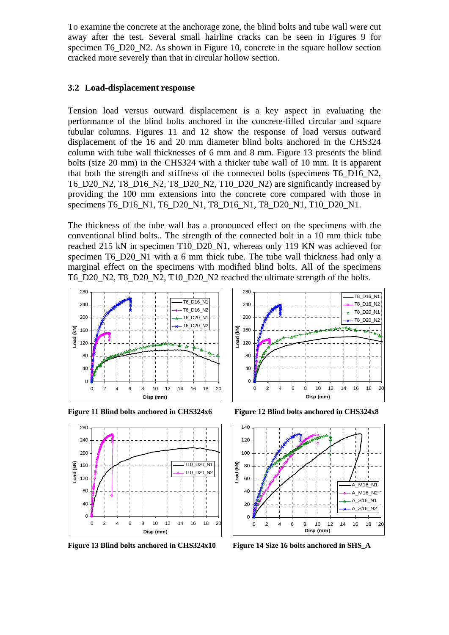To examine the concrete at the anchorage zone, the blind bolts and tube wall were cut away after the test. Several small hairline cracks can be seen in Figures [9](#page-5-2) for specimen T6 D20 N2. As shown in Figure [10,](#page-5-2) concrete in the square hollow section cracked more severely than that in circular hollow section.

#### **3.2 Load-displacement response**

Tension load versus outward displacement is a key aspect in evaluating the performance of the blind bolts anchored in the concrete-filled circular and square tubular columns. Figures [11](#page-6-0) and 12 show the response of load versus outward displacement of the 16 and 20 mm diameter blind bolts anchored in the CHS324 column with tube wall thicknesses of 6 mm and 8 mm. Figure [13](#page-6-1) presents the blind bolts (size 20 mm) in the CHS324 with a thicker tube wall of 10 mm. It is apparent that both the strength and stiffness of the connected bolts (specimens T6\_D16\_N2, T6\_D20\_N2, T8\_D16\_N2, T8\_D20\_N2, T10\_D20\_N2) are significantly increased by providing the 100 mm extensions into the concrete core compared with those in specimens T6\_D16\_N1, T6\_D20\_N1, T8\_D16\_N1, T8\_D20\_N1, T10\_D20\_N1.

The thickness of the tube wall has a pronounced effect on the specimens with the conventional blind bolts.. The strength of the connected bolt in a 10 mm thick tube reached 215 kN in specimen T10\_D20\_N1, whereas only 119 KN was achieved for specimen T6\_D20\_N1 with a 6 mm thick tube. The tube wall thickness had only a marginal effect on the specimens with modified blind bolts. All of the specimens T6\_D20\_N2, T8\_D20\_N2, T10\_D20\_N2 reached the ultimate strength of the bolts.



<span id="page-6-0"></span>

<span id="page-6-1"></span>**Figure 13 Blind bolts anchored in CHS324x10 Figure 14 Size 16 bolts anchored in SHS\_A** 



**Figure 11 Blind bolts anchored in CHS324x6 Figure 12 Blind bolts anchored in CHS324x8** 

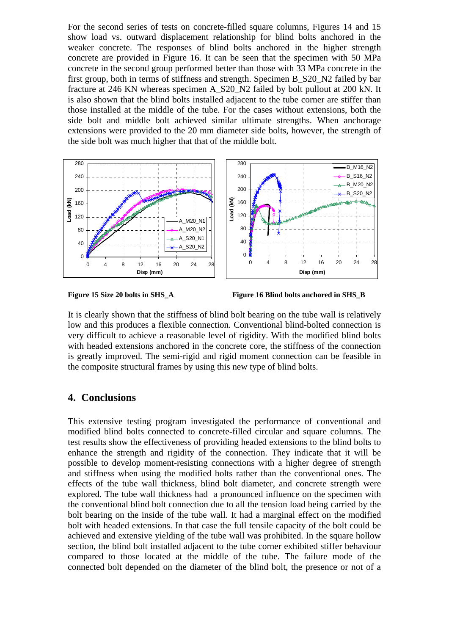For the second series of tests on concrete-filled square columns, Figures [14](#page-6-1) and [15](#page-7-0) show load vs. outward displacement relationship for blind bolts anchored in the weaker concrete. The responses of blind bolts anchored in the higher strength concrete are provided in Figure [16](#page-7-0). It can be seen that the specimen with 50 MPa concrete in the second group performed better than those with 33 MPa concrete in the first group, both in terms of stiffness and strength. Specimen B\_S20\_N2 failed by bar fracture at 246 KN whereas specimen A\_S20\_N2 failed by bolt pullout at 200 kN. It is also shown that the blind bolts installed adjacent to the tube corner are stiffer than those installed at the middle of the tube. For the cases without extensions, both the side bolt and middle bolt achieved similar ultimate strengths. When anchorage extensions were provided to the 20 mm diameter side bolts, however, the strength of the side bolt was much higher that that of the middle bolt.



<span id="page-7-0"></span>



It is clearly shown that the stiffness of blind bolt bearing on the tube wall is relatively low and this produces a flexible connection. Conventional blind-bolted connection is very difficult to achieve a reasonable level of rigidity. With the modified blind bolts with headed extensions anchored in the concrete core, the stiffness of the connection is greatly improved. The semi-rigid and rigid moment connection can be feasible in the composite structural frames by using this new type of blind bolts.

### **4. Conclusions**

This extensive testing program investigated the performance of conventional and modified blind bolts connected to concrete-filled circular and square columns. The test results show the effectiveness of providing headed extensions to the blind bolts to enhance the strength and rigidity of the connection. They indicate that it will be possible to develop moment-resisting connections with a higher degree of strength and stiffness when using the modified bolts rather than the conventional ones. The effects of the tube wall thickness, blind bolt diameter, and concrete strength were explored. The tube wall thickness had a pronounced influence on the specimen with the conventional blind bolt connection due to all the tension load being carried by the bolt bearing on the inside of the tube wall. It had a marginal effect on the modified bolt with headed extensions. In that case the full tensile capacity of the bolt could be achieved and extensive yielding of the tube wall was prohibited. In the square hollow section, the blind bolt installed adjacent to the tube corner exhibited stiffer behaviour compared to those located at the middle of the tube. The failure mode of the connected bolt depended on the diameter of the blind bolt, the presence or not of a